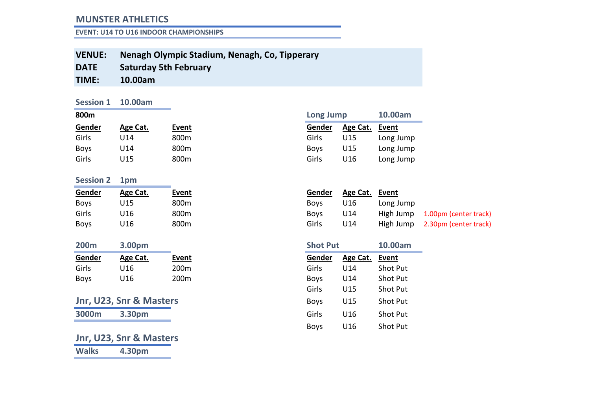#### **EVENT: U14 TO U16 INDOOR CHAMPIONSHIPS**

- **VENUE: Nenagh Olympic Stadium, Nenagh, Co, Tipperary**
- **DATE Saturday 5th February**
- **TIME: 10.00am**

#### **Session 1 10.00am**

| Gender      | Age Cat. | Event | Gender      | Age Cat. Event |           |
|-------------|----------|-------|-------------|----------------|-----------|
| Girls       | U14      | 800m  | Girls       | U15            | Long Jump |
| <b>Boys</b> | U14      | 800m  | <b>Boys</b> | U15            | Long Jump |
| Girls       | U15      | 800m  | Girls       | U16            | Long Jump |

#### **Session 2 1pm**

| Gender      | Age Cat. | Event            | Gender      | Age Cat. | Event     |
|-------------|----------|------------------|-------------|----------|-----------|
| <b>Boys</b> | U15      | 800m             | <b>Boys</b> | U16      | Long Jump |
| Girls       | U16      | 800 <sub>m</sub> | <b>Boys</b> | U14      | High Jump |
| <b>Boys</b> | U16      | 800 <sub>m</sub> | Girls       | U14      | High Jump |

| 200 <sub>m</sub> | 3.00pm   |       | <b>Shot Put</b> |                | 10.00am         |
|------------------|----------|-------|-----------------|----------------|-----------------|
| <b>Gender</b>    | Age Cat. | Event | Gender          | Age Cat. Event |                 |
| Girls            | U16      | 200m  | Girls           | U14            | <b>Shot Put</b> |
| <b>Boys</b>      | U16      | 200m  | <b>Boys</b>     | U14            | <b>Shot Put</b> |

|       |        | Jnr, U23, Snr & Masters |
|-------|--------|-------------------------|
| 3000m | 3.30pm |                         |

## **Jnr, U23, Snr & Masters**

**Walks 4.30pm**

|          |              |  |                                         | 10.00am   |
|----------|--------------|--|-----------------------------------------|-----------|
| Age Cat. | <b>Event</b> |  | Age Cat.                                | Event     |
| U14      | 800m         |  | U15                                     | Long Jump |
| U14      | 800m         |  | U15                                     | Long Jump |
| U15      | 800m         |  | U16                                     | Long Jump |
|          |              |  | Gender<br>Girls<br><b>Boys</b><br>Girls | Long Jump |

| Gender      | Age Cat. | Event     |                       |
|-------------|----------|-----------|-----------------------|
| <b>Boys</b> | U16      | Long Jump |                       |
| <b>Boys</b> | U14      | High Jump | 1.00pm (center track) |
| Girls       | U14      | High Jump | 2.30pm (center track) |
|             |          |           |                       |

| 200m        | 3.00pm                  |                  | <b>Shot Put</b> |          | 10.00am  |
|-------------|-------------------------|------------------|-----------------|----------|----------|
| Gender      | Age Cat.                | <b>Event</b>     | Gender          | Age Cat. | Event    |
| Girls       | U16                     | 200 <sub>m</sub> | Girls           | U14      | Shot Put |
| <b>Boys</b> | U16                     | 200 <sub>m</sub> | <b>Boys</b>     | U14      | Shot Put |
|             |                         |                  | Girls           | U15      | Shot Put |
|             | Jnr, U23, Snr & Masters |                  | <b>Boys</b>     | U15      | Shot Put |
| 3000m       | 3.30pm                  |                  | Girls           | U16      | Shot Put |
|             |                         |                  | <b>Boys</b>     | U16      | Shot Put |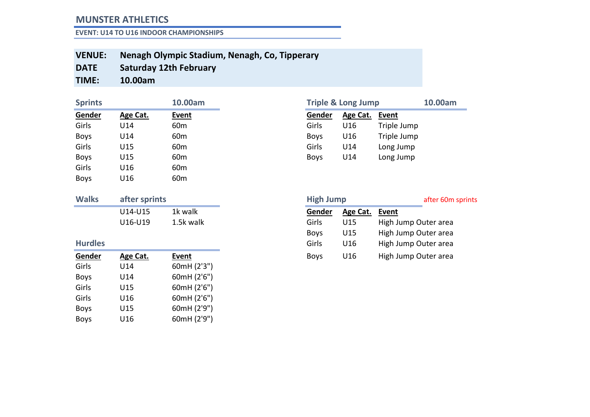**EVENT: U14 TO U16 INDOOR CHAMPIONSHIPS**

#### **VENUE: Nenagh Olympic Stadium, Nenagh, Co, Tipperary**

**DATE Saturday 12th February**

**TIME: 10.00am**

| <b>Sprints</b> |          | 10.00am         |             | <b>Triple &amp; Long Jump</b> |             |
|----------------|----------|-----------------|-------------|-------------------------------|-------------|
| Gender         | Age Cat. | <b>Event</b>    | Gender      | Age Cat.                      | Event       |
| Girls          | U14      | 60m             | Girls       | U16                           | Triple Jump |
| <b>Boys</b>    | U14      | 60 <sub>m</sub> | <b>Boys</b> | U16                           | Triple Jump |
| Girls          | U15      | 60 <sub>m</sub> | Girls       | U <sub>14</sub>               | Long Jump   |
| <b>Boys</b>    | U15      | 60 <sub>m</sub> | <b>Boys</b> | U14                           | Long Jump   |
| Girls          | U16      | 60 <sub>m</sub> |             |                               |             |
| <b>Boys</b>    | U16      | 60 <sub>m</sub> |             |                               |             |

| <b>Walks</b> | after sprints |           |
|--------------|---------------|-----------|
|              | U14-U15       | 1k walk   |
|              | U16-U19       | 1.5k walk |

| Gender      | Age Cat. | <b>Event</b> |
|-------------|----------|--------------|
| Girls       | U14      | 60mH (2'3")  |
| <b>Boys</b> | U14      | 60mH (2'6")  |
| Girls       | U15      | 60mH (2'6")  |
| Girls       | U16      | 60mH (2'6")  |
| <b>Boys</b> | U15      | 60mH (2'9")  |
| <b>Boys</b> | U16      | 60mH (2'9")  |

| <b>Sprints</b> |          | 10.00am         |             | <b>Triple &amp; Long Jump</b> |             | 10.00am |
|----------------|----------|-----------------|-------------|-------------------------------|-------------|---------|
| Gender         | Age Cat. | <b>Event</b>    | Gender      | Age Cat.                      | Event       |         |
| Girls          | J14      | 60m             | Girls       | U16                           | Triple Jump |         |
| Boys           | U14      | 60m             | <b>Boys</b> | U16                           | Triple Jump |         |
| Girls          | U15      | 60 <sub>m</sub> | Girls       | U14                           | Long Jump   |         |
| Boys           | J15      | 60 <sub>m</sub> | <b>Boys</b> | U14                           | Long Jump   |         |

| <b>Walks</b>   | after sprints |           |
|----------------|---------------|-----------|
|                | U14-U15       | 1k walk   |
|                | U16-U19       | 1.5k walk |
|                |               |           |
| <b>Hurdles</b> |               |           |
| Gender         | Age Cat.      | Event     |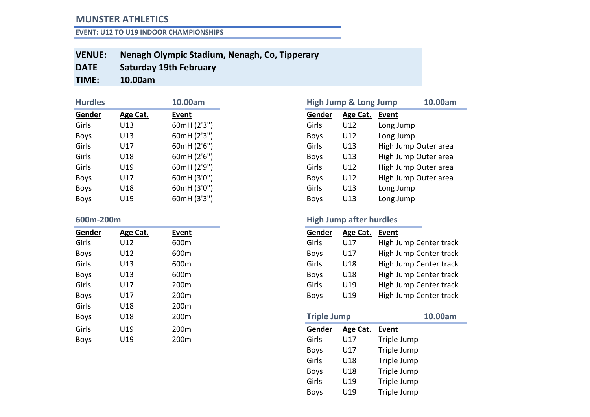**EVENT: U12 TO U19 INDOOR CHAMPIONSHIPS**

- **VENUE: Nenagh Olympic Stadium, Nenagh, Co, Tipperary**
- **DATE Saturday 19th February**
- **TIME: 10.00am**

| <b>Hurdles</b> |          | 10.00am     |             | <b>High Jump &amp; Long Jump</b> |           |
|----------------|----------|-------------|-------------|----------------------------------|-----------|
| Gender         | Age Cat. | Event       | Gender      | Age Cat.                         | Event     |
| Girls          | U13      | 60mH (2'3") | Girls       | U12                              | Long Jump |
| <b>Boys</b>    | U13      | 60mH (2'3") | <b>Boys</b> | U12                              | Long Jump |
| Girls          | U17      | 60mH (2'6") | Girls       | U13                              | High Jump |
| Girls          | U18      | 60mH (2'6") | <b>Boys</b> | U13                              | High Jump |
| Girls          | U19      | 60mH (2'9") | Girls       | U12                              | High Jump |
| <b>Boys</b>    | U17      | 60mH (3'0") | <b>Boys</b> | U12                              | High Jump |
| <b>Boys</b>    | U18      | 60mH (3'0") | Girls       | U13                              | Long Jump |
| <b>Boys</b>    | U19      | 60mH (3'3") | <b>Boys</b> | U13                              | Long Jump |

| Gender      | Age Cat. | <b>Event</b> | Gender             | Age Cat. | <b>Event</b> |
|-------------|----------|--------------|--------------------|----------|--------------|
| Girls       | U12      | 600m         | Girls              | U17      | High J       |
| <b>Boys</b> | U12      | 600m         | <b>Boys</b>        | U17      | High J       |
| Girls       | U13      | 600m         | Girls              | U18      | High J       |
| <b>Boys</b> | U13      | 600m         | <b>Boys</b>        | U18      | High J       |
| Girls       | U17      | 200m         | Girls              | U19      | High J       |
| <b>Boys</b> | U17      | 200m         | <b>Boys</b>        | U19      | High J       |
| Girls       | U18      | 200m         |                    |          |              |
| <b>Boys</b> | U18      | 200m         | <b>Triple Jump</b> |          |              |
| Girls       | U19      | 200m         | Gender             | Age Cat. | <b>Event</b> |
| <b>Boys</b> | U19      | 200m         | Girls              | U17      | Triple       |

| <b>Hurdles</b> |          | 10.00am     |             | <b>High Jump &amp; Long Jump</b> | 10.00am              |
|----------------|----------|-------------|-------------|----------------------------------|----------------------|
| Gender         | Age Cat. | Event       | Gender      | Age Cat.                         | Event                |
| Girls          | U13      | 60mH (2'3") | Girls       | U12                              | Long Jump            |
| <b>Boys</b>    | U13      | 60mH (2'3") | <b>Boys</b> | U12                              | Long Jump            |
| Girls          | U17      | 60mH (2'6") | Girls       | U13                              | High Jump Outer area |
| Girls          | U18      | 60mH (2'6") | <b>Boys</b> | U13                              | High Jump Outer area |
| Girls          | U19      | 60mH (2'9") | Girls       | U12                              | High Jump Outer area |
| <b>Boys</b>    | U17      | 60mH (3'0") | <b>Boys</b> | U12                              | High Jump Outer area |
| <b>Boys</b>    | U18      | 60mH (3'0") | Girls       | U13                              | Long Jump            |
| <b>Boys</b>    | U19      | 60mH (3'3") | <b>Boys</b> | U13                              | Long Jump            |

# **600m-200m High Jump after hurdles**

| High Jump Center track |
|------------------------|
| High Jump Center track |
| High Jump Center track |
| High Jump Center track |
| High Jump Center track |
| High Jump Center track |
|                        |

| <b>Boys</b> | U18 | 200m | <b>Triple Jump</b> |          |             | 10.00am |
|-------------|-----|------|--------------------|----------|-------------|---------|
| Girls       | U19 | 200m | Gender             | Age Cat. | Event       |         |
| <b>Boys</b> | U19 | 200m | Girls              | U17      | Triple Jump |         |
|             |     |      | <b>Boys</b>        | U17      | Triple Jump |         |
|             |     |      | Girls              | U18      | Triple Jump |         |
|             |     |      | <b>Boys</b>        | U18      | Triple Jump |         |
|             |     |      | Girls              | U19      | Triple Jump |         |
|             |     |      | <b>Boys</b>        | U19      | Triple Jump |         |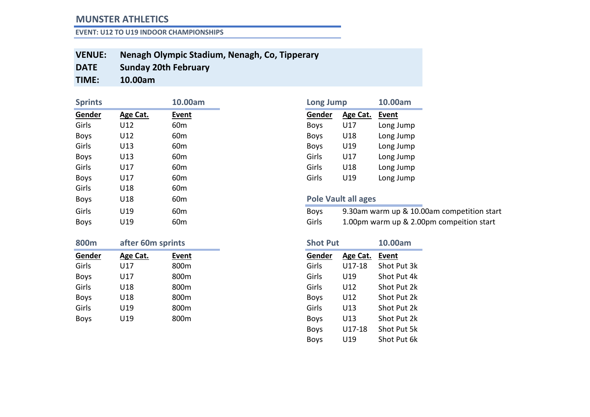**EVENT: U12 TO U19 INDOOR CHAMPIONSHIPS**

- **VENUE: Nenagh Olympic Stadium, Nenagh, Co, Tipperary**
- **DATE Sunday 20th February**
- **TIME: 10.00am**

| <b>Sprints</b> |                   | 10.00am         | <b>Long Jump</b> |                            | 10.00am              |
|----------------|-------------------|-----------------|------------------|----------------------------|----------------------|
| Gender         | Age Cat.          | Event           | Gender           | Age Cat.                   | Event                |
| Girls          | U12               | 60 <sub>m</sub> | <b>Boys</b>      | U17                        | Long Jump            |
| <b>Boys</b>    | U12               | 60 <sub>m</sub> | <b>Boys</b>      | U18                        | Long Jump            |
| Girls          | U13               | 60 <sub>m</sub> | <b>Boys</b>      | U19                        | Long Jump            |
| <b>Boys</b>    | U13               | 60 <sub>m</sub> | Girls            | U17                        | Long Jump            |
| Girls          | U17               | 60 <sub>m</sub> | Girls            | U18                        | Long Jump            |
| <b>Boys</b>    | U17               | 60 <sub>m</sub> | Girls            | U19                        | Long Jump            |
| Girls          | U18               | 60 <sub>m</sub> |                  |                            |                      |
| <b>Boys</b>    | U18               | 60 <sub>m</sub> |                  | <b>Pole Vault all ages</b> |                      |
| Girls          | U19               | 60 <sub>m</sub> | <b>Boys</b>      |                            | 9.30am warm up & 1   |
| <b>Boys</b>    | U19               | 60 <sub>m</sub> | Girls            |                            | 1.00pm warm up $& 2$ |
| 800m           | after 60m sprints |                 | <b>Shot Put</b>  |                            | 10.00am              |

| -----       | <u>GIVCI OUIII OMIIIIU</u> |                  | --------    |          |             |
|-------------|----------------------------|------------------|-------------|----------|-------------|
| Gender      | Age Cat.                   | Event            | Gender      | Age Cat. | Event       |
| Girls       | U17                        | 800 <sub>m</sub> | Girls       | U17-18   | Shot Put 3k |
| <b>Boys</b> | U17                        | 800 <sub>m</sub> | Girls       | U19      | Shot Put 4k |
| Girls       | U18                        | 800 <sub>m</sub> | Girls       | U12      | Shot Put 2k |
| <b>Boys</b> | U18                        | 800 <sub>m</sub> | <b>Boys</b> | U12      | Shot Put 2k |
| Girls       | U19                        | 800m             | Girls       | U13      | Shot Put 2k |
| <b>Boys</b> | U19                        | 800m             | <b>Boys</b> | U13      | Shot Put 2k |

| <b>Long Jump</b> |          | 10.00am      |
|------------------|----------|--------------|
| Gender           | Age Cat. | <b>Event</b> |
| <b>Boys</b>      | U17      | Long Jump    |
| <b>Boys</b>      | U18      | Long Jump    |
| <b>Boys</b>      | U19      | Long Jump    |
| Girls            | U17      | Long Jump    |
| Girls            | U18      | Long Jump    |
| Girls            | U19      | Long Jump    |

#### **Pole Vault all ages**

| Girls       | U19 | 60 <sub>m</sub> | <b>Bovs</b> | 9.30am warm up & 10.00am competition start |
|-------------|-----|-----------------|-------------|--------------------------------------------|
| <b>Boys</b> | U19 | 60 <sub>m</sub> | Girls       | 1.00pm warm up & 2.00pm compeition start   |

| <b>Shot Put</b> |          | 10.00am     |
|-----------------|----------|-------------|
| Gender          | Age Cat. | Event       |
| Girls           | U17-18   | Shot Put 3k |
| Girls           | U19      | Shot Put 4k |
| Girls           | U12      | Shot Put 2k |
| <b>Boys</b>     | U12      | Shot Put 2k |
| Girls           | U13      | Shot Put 2k |
| <b>Boys</b>     | U13      | Shot Put 2k |
| <b>Boys</b>     | U17-18   | Shot Put 5k |
| <b>Boys</b>     | U19      | Shot Put 6k |